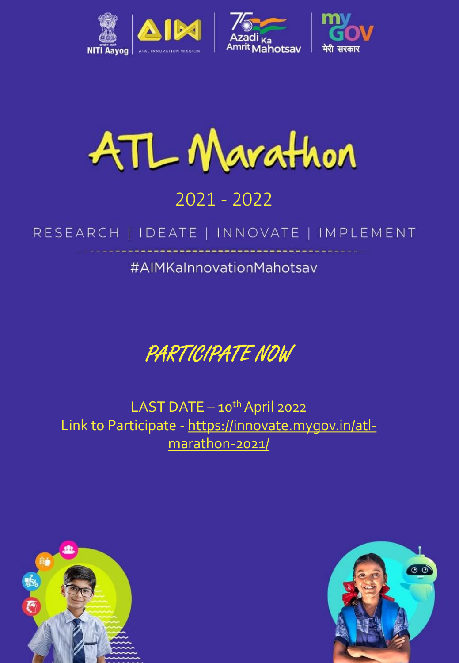



## *Mindful Innovation for the Greater Good* 2021 - 2022

### RESEARCH | IDEATE | INNOVATE | IMPLEMENT

### #AIMKaInnovationMahotsav

PARTICIPATE NOW

LAST DATE  $-10^{th}$  April 2022 Link to Participate - [https://innovate.mygov.in/atl](https://innovate.mygov.in/atl-marathon-2021/)marathon-2021/



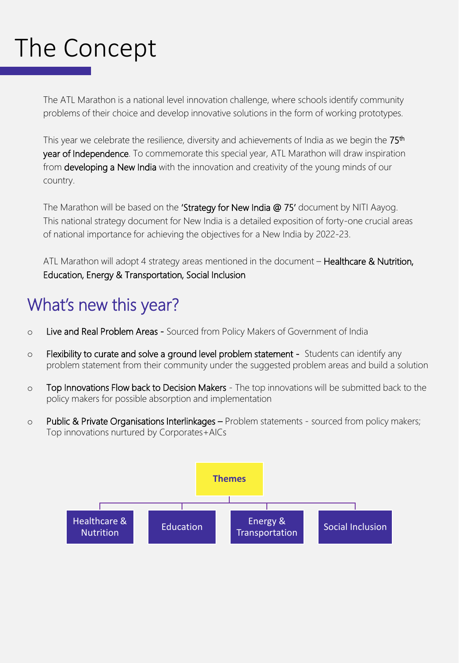# The Concept

The ATL Marathon is a national level innovation challenge, where schools identify community problems of their choice and develop innovative solutions in the form of working prototypes.

This year we celebrate the resilience, diversity and achievements of India as we begin the  $75<sup>th</sup>$ year of Independence. To commemorate this special year, ATL Marathon will draw inspiration from developing a New India with the innovation and creativity of the young minds of our country.

The Marathon will be based on the 'Strategy for New India @ 75' document by NITI Aayog. This national strategy document for New India is a detailed exposition of forty-one crucial areas of national importance for achieving the objectives for a New India by 2022-23.

ATL Marathon will adopt 4 strategy areas mentioned in the document – Healthcare & Nutrition, Education, Energy & Transportation, Social Inclusion

## What's new this year?

- o Live and Real Problem Areas Sourced from Policy Makers of Government of India
- $\circ$  Flexibility to curate and solve a ground level problem statement Students can identify any problem statement from their community under the suggested problem areas and build a solution
- o Top Innovations Flow back to Decision Makers The top innovations will be submitted back to the policy makers for possible absorption and implementation
- $\circ$  Public & Private Organisations Interlinkages Problem statements sourced from policy makers; Top innovations nurtured by Corporates+AICs

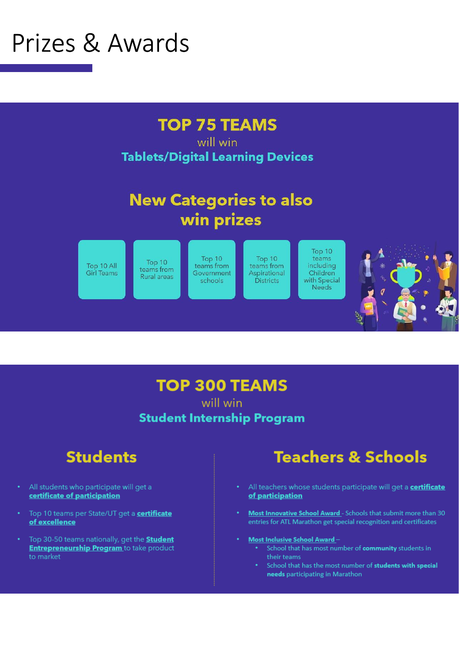# <span id="page-2-0"></span>Prizes & Awards



will win **Tablets/Digital Learning Devices** 

### **New Categories to also** win prizes





#### **TOP 300 TEAMS** will win

**Student Internship Program** 

### **Students**

- All students who participate will get a certificate of participation
- Top 10 teams per State/UT get a **certificate** of excellence
- Top 30-50 teams nationally, get the **Student Entrepreneurship Program** to take product to market

### **Teachers & Schools**

- All teachers whose students participate will get a **certificate** of participation
- Most Innovative School Award Schools that submit more than 30 entries for ATL Marathon get special recognition and certificates
- Most Inclusive School Award-
	- School that has most number of community students in their teams
	- School that has the most number of students with special needs participating in Marathon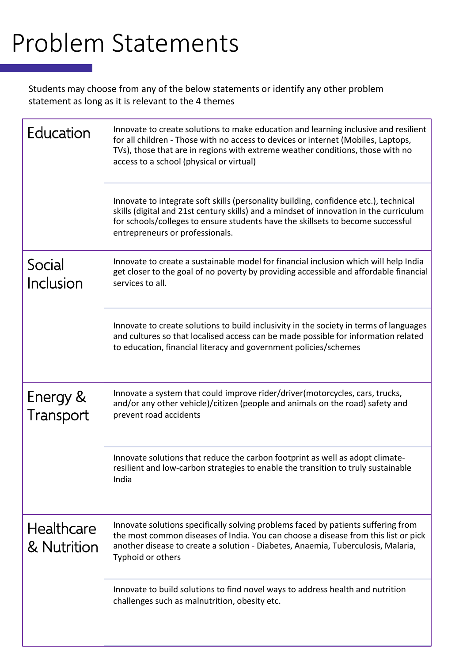# Problem Statements

Students may choose from any of the below statements or identify any other problem statement as long as it is relevant to the 4 themes

| Education                        | Innovate to create solutions to make education and learning inclusive and resilient<br>for all children - Those with no access to devices or internet (Mobiles, Laptops,<br>TVs), those that are in regions with extreme weather conditions, those with no<br>access to a school (physical or virtual) |
|----------------------------------|--------------------------------------------------------------------------------------------------------------------------------------------------------------------------------------------------------------------------------------------------------------------------------------------------------|
|                                  | Innovate to integrate soft skills (personality building, confidence etc.), technical<br>skills (digital and 21st century skills) and a mindset of innovation in the curriculum<br>for schools/colleges to ensure students have the skillsets to become successful<br>entrepreneurs or professionals.   |
| Social<br>Inclusion              | Innovate to create a sustainable model for financial inclusion which will help India<br>get closer to the goal of no poverty by providing accessible and affordable financial<br>services to all.                                                                                                      |
|                                  | Innovate to create solutions to build inclusivity in the society in terms of languages<br>and cultures so that localised access can be made possible for information related<br>to education, financial literacy and government policies/schemes                                                       |
| Energy &<br>Transport            | Innovate a system that could improve rider/driver(motorcycles, cars, trucks,<br>and/or any other vehicle)/citizen (people and animals on the road) safety and<br>prevent road accidents                                                                                                                |
|                                  | Innovate solutions that reduce the carbon footprint as well as adopt climate-<br>resilient and low-carbon strategies to enable the transition to truly sustainable<br>India                                                                                                                            |
| <b>Healthcare</b><br>& Nutrition | Innovate solutions specifically solving problems faced by patients suffering from<br>the most common diseases of India. You can choose a disease from this list or pick<br>another disease to create a solution - Diabetes, Anaemia, Tuberculosis, Malaria,<br>Typhoid or others                       |
|                                  | Innovate to build solutions to find novel ways to address health and nutrition<br>challenges such as malnutrition, obesity etc.                                                                                                                                                                        |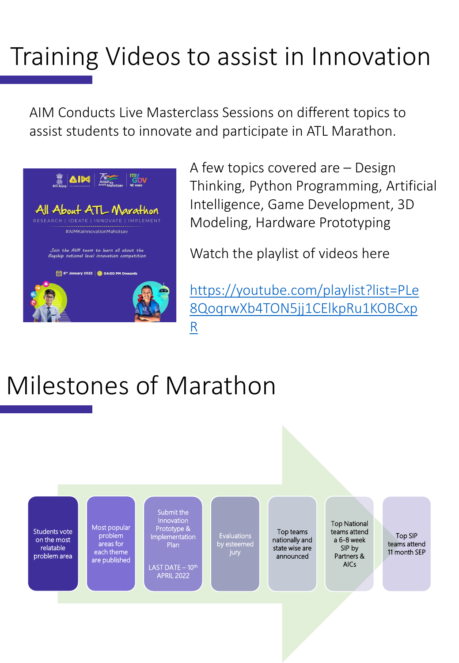# Training Videos to assist in Innovation

AIM Conducts Live Masterclass Sessions on different topics to assist students to innovate and participate in ATL Marathon.



A few topics covered are – Design Thinking, Python Programming, Artificial Intelligence, Game Development, 3D Modeling, Hardware Prototyping

Watch the playlist of videos here

https://youtube.com/playlist?list=PLe [8QoqrwXb4TON5jj1CElkpRu1KOBCxp](https://youtube.com/playlist?list=PLe8QoqrwXb4TON5jj1CElkpRu1KOBCxpR) R

# Milestones of Marathon

Students vote on the most relatable problem area Most popular problem areas for each theme are published Submit the Innovation Prototype & Implementation Plan LAST DATE - 10<sup>th</sup> APRIL 2022 Evaluations by esteemed jury Top teams nationally and state wise are announced Top National teams attend a 6-8 week SIP by Partners & AICs Top SIP teams attend 11 month SEP